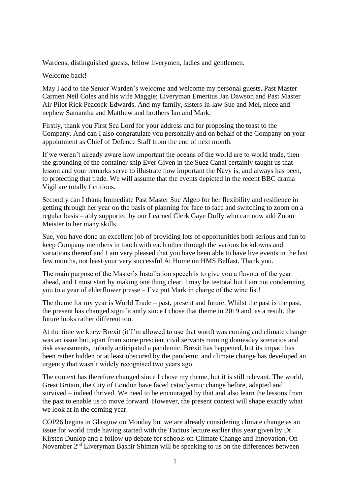Wardens, distinguished guests, fellow liverymen, ladies and gentlemen.

Welcome back!

May I add to the Senior Warden's welcome and welcome my personal guests, Past Master Carmen Neil Coles and his wife Maggie; Liveryman Emeritus Jan Dawson and Past Master Air Pilot Rick Peacock-Edwards. And my family, sisters-in-law Sue and Mel, niece and nephew Samantha and Matthew and brothers Ian and Mark.

Firstly, thank you First Sea Lord for your address and for proposing the toast to the Company. And can I also congratulate you personally and on behalf of the Company on your appointment as Chief of Defence Staff from the end of next month.

If we weren't already aware how important the oceans of the world are to world trade, then the grounding of the container ship Ever Given in the Suez Canal certainly taught us that lesson and your remarks serve to illustrate how important the Navy is, and always has been, to protecting that trade. We will assume that the events depicted in the recent BBC drama Vigil are totally fictitious.

Secondly can I thank Immediate Past Master Sue Algeo for her flexibility and resilience in getting through her year on the basis of planning for face to face and switching to zoom on a regular basis – ably supported by our Learned Clerk Gaye Duffy who can now add Zoom Meister to her many skills.

Sue, you have done an excellent job of providing lots of opportunities both serious and fun to keep Company members in touch with each other through the various lockdowns and variations thereof and I am very pleased that you have been able to have live events in the last few months, not least your very successful At Home on HMS Belfast. Thank you.

The main purpose of the Master's Installation speech is to give you a flavour of the year ahead, and I must start by making one thing clear. I may be teetotal but I am not condemning you to a year of elderflower presse – I've put Mark in charge of the wine list!

The theme for my year is World Trade – past, present and future. Whilst the past is the past, the present has changed significantly since I chose that theme in 2019 and, as a result, the future looks rather different too.

At the time we knew Brexit (if I'm allowed to use that word) was coming and climate change was an issue but, apart from some prescient civil servants running domesday scenarios and risk assessments, nobody anticipated a pandemic. Brexit has happened, but its impact has been rather hidden or at least obscured by the pandemic and climate change has developed an urgency that wasn't widely recognised two years ago.

The context has therefore changed since I chose my theme, but it is still relevant. The world, Great Britain, the City of London have faced cataclysmic change before, adapted and survived – indeed thrived. We need to be encouraged by that and also learn the lessons from the past to enable us to move forward. However, the present context will shape exactly what we look at in the coming year.

COP26 begins in Glasgow on Monday but we are already considering climate change as an issue for world trade having started with the Tacitus lecture earlier this year given by Dr Kirsten Dunlop and a follow up debate for schools on Climate Change and Innovation. On November 2nd Liveryman Bashir Shiman will be speaking to us on the differences between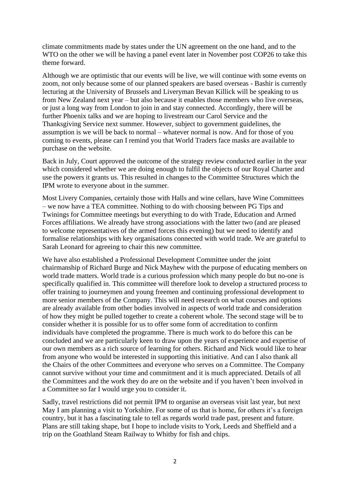climate commitments made by states under the UN agreement on the one hand, and to the WTO on the other we will be having a panel event later in November post COP26 to take this theme forward.

Although we are optimistic that our events will be live, we will continue with some events on zoom, not only because some of our planned speakers are based overseas - Bashir is currently lecturing at the University of Brussels and Liveryman Bevan Killick will be speaking to us from New Zealand next year – but also because it enables those members who live overseas, or just a long way from London to join in and stay connected. Accordingly, there will be further Phoenix talks and we are hoping to livestream our Carol Service and the Thanksgiving Service next summer. However, subject to government guidelines, the assumption is we will be back to normal – whatever normal is now. And for those of you coming to events, please can I remind you that World Traders face masks are available to purchase on the website.

Back in July, Court approved the outcome of the strategy review conducted earlier in the year which considered whether we are doing enough to fulfil the objects of our Royal Charter and use the powers it grants us. This resulted in changes to the Committee Structures which the IPM wrote to everyone about in the summer.

Most Livery Companies, certainly those with Halls and wine cellars, have Wine Committees – we now have a TEA committee. Nothing to do with choosing between PG Tips and Twinings for Committee meetings but everything to do with Trade, Education and Armed Forces affiliations. We already have strong associations with the latter two (and are pleased to welcome representatives of the armed forces this evening) but we need to identify and formalise relationships with key organisations connected with world trade. We are grateful to Sarah Leonard for agreeing to chair this new committee.

We have also established a Professional Development Committee under the joint chairmanship of Richard Burge and Nick Mayhew with the purpose of educating members on world trade matters. World trade is a curious profession which many people do but no-one is specifically qualified in. This committee will therefore look to develop a structured process to offer training to journeymen and young freemen and continuing professional development to more senior members of the Company. This will need research on what courses and options are already available from other bodies involved in aspects of world trade and consideration of how they might be pulled together to create a coherent whole. The second stage will be to consider whether it is possible for us to offer some form of accreditation to confirm individuals have completed the programme. There is much work to do before this can be concluded and we are particularly keen to draw upon the years of experience and expertise of our own members as a rich source of learning for others. Richard and Nick would like to hear from anyone who would be interested in supporting this initiative. And can I also thank all the Chairs of the other Committees and everyone who serves on a Committee. The Company cannot survive without your time and commitment and it is much appreciated. Details of all the Committees and the work they do are on the website and if you haven't been involved in a Committee so far I would urge you to consider it.

Sadly, travel restrictions did not permit IPM to organise an overseas visit last year, but next May I am planning a visit to Yorkshire. For some of us that is home, for others it's a foreign country, but it has a fascinating tale to tell as regards world trade past, present and future. Plans are still taking shape, but I hope to include visits to York, Leeds and Sheffield and a trip on the Goathland Steam Railway to Whitby for fish and chips.